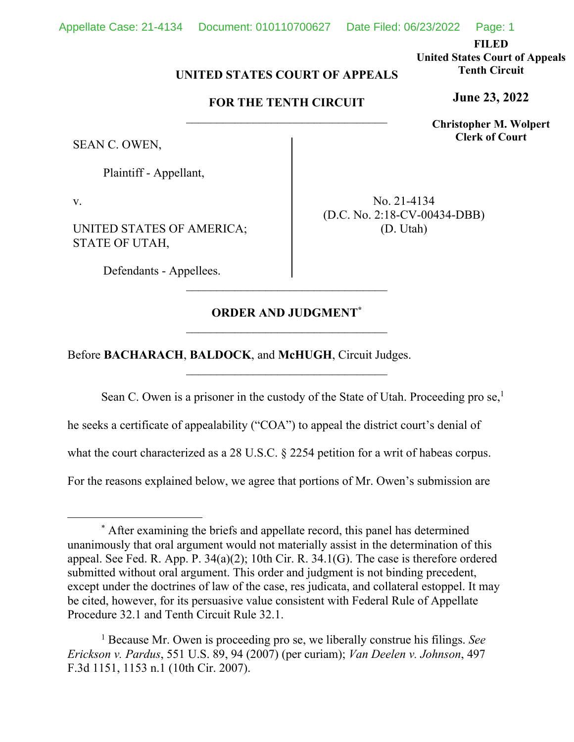**FILED United States Court of Appeals Tenth Circuit** 

**June 23, 2022**

**Christopher M. Wolpert Clerk of Court**

## **UNITED STATES COURT OF APPEALS**

# **FOR THE TENTH CIRCUIT**

SEAN C. OWEN,

Plaintiff - Appellant,

v.

UNITED STATES OF AMERICA; STATE OF UTAH,

Defendants - Appellees.

No. 21-4134 (D.C. No. 2:18-CV-00434-DBB) (D. Utah)

## **ORDER AND JUDGMENT\***

\_\_\_\_\_\_\_\_\_\_\_\_\_\_\_\_\_\_\_\_\_\_\_\_\_\_\_\_\_\_\_\_\_

Before **BACHARACH**, **BALDOCK**, and **McHUGH**, Circuit Judges.

Sean C. Owen is a prisoner in the custody of the State of Utah. Proceeding pro se,<sup>1</sup>

he seeks a certificate of appealability ("COA") to appeal the district court's denial of

what the court characterized as a 28 U.S.C. § 2254 petition for a writ of habeas corpus.

For the reasons explained below, we agree that portions of Mr. Owen's submission are

<sup>\*</sup> After examining the briefs and appellate record, this panel has determined unanimously that oral argument would not materially assist in the determination of this appeal. See Fed. R. App. P. 34(a)(2); 10th Cir. R. 34.1(G). The case is therefore ordered submitted without oral argument. This order and judgment is not binding precedent, except under the doctrines of law of the case, res judicata, and collateral estoppel. It may be cited, however, for its persuasive value consistent with Federal Rule of Appellate Procedure 32.1 and Tenth Circuit Rule 32.1.

<sup>1</sup> Because Mr. Owen is proceeding pro se, we liberally construe his filings. *See Erickson v. Pardus*, 551 U.S. 89, 94 (2007) (per curiam); *Van Deelen v. Johnson*, 497 F.3d 1151, 1153 n.1 (10th Cir. 2007).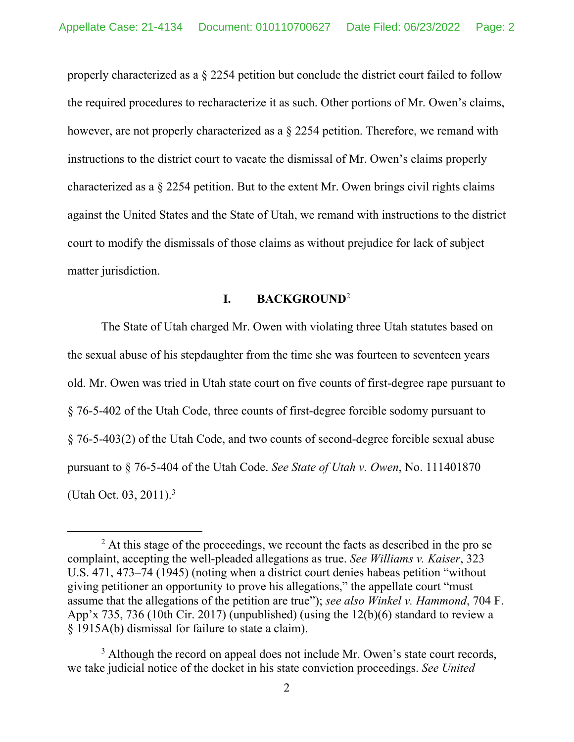properly characterized as a § 2254 petition but conclude the district court failed to follow the required procedures to recharacterize it as such. Other portions of Mr. Owen's claims, however, are not properly characterized as a § 2254 petition. Therefore, we remand with instructions to the district court to vacate the dismissal of Mr. Owen's claims properly characterized as a § 2254 petition. But to the extent Mr. Owen brings civil rights claims against the United States and the State of Utah, we remand with instructions to the district court to modify the dismissals of those claims as without prejudice for lack of subject matter jurisdiction.

## **I. BACKGROUND**<sup>2</sup>

The State of Utah charged Mr. Owen with violating three Utah statutes based on the sexual abuse of his stepdaughter from the time she was fourteen to seventeen years old. Mr. Owen was tried in Utah state court on five counts of first-degree rape pursuant to § 76-5-402 of the Utah Code, three counts of first-degree forcible sodomy pursuant to § 76-5-403(2) of the Utah Code, and two counts of second-degree forcible sexual abuse pursuant to § 76-5-404 of the Utah Code. *See State of Utah v. Owen*, No. 111401870 (Utah Oct. 03, 2011).3 

 $2$  At this stage of the proceedings, we recount the facts as described in the pro se complaint, accepting the well-pleaded allegations as true. *See Williams v. Kaiser*, 323 U.S. 471, 473–74 (1945) (noting when a district court denies habeas petition "without giving petitioner an opportunity to prove his allegations," the appellate court "must assume that the allegations of the petition are true"); *see also Winkel v. Hammond*, 704 F. App'x 735, 736 (10th Cir. 2017) (unpublished) (using the 12(b)(6) standard to review a § 1915A(b) dismissal for failure to state a claim).

<sup>&</sup>lt;sup>3</sup> Although the record on appeal does not include Mr. Owen's state court records, we take judicial notice of the docket in his state conviction proceedings. *See United*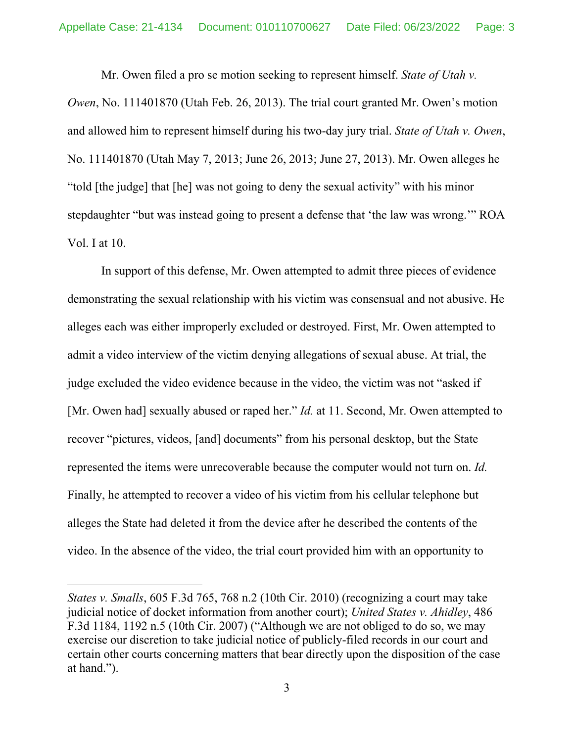Mr. Owen filed a pro se motion seeking to represent himself. *State of Utah v. Owen*, No. 111401870 (Utah Feb. 26, 2013). The trial court granted Mr. Owen's motion and allowed him to represent himself during his two-day jury trial. *State of Utah v. Owen*, No. 111401870 (Utah May 7, 2013; June 26, 2013; June 27, 2013). Mr. Owen alleges he "told [the judge] that [he] was not going to deny the sexual activity" with his minor stepdaughter "but was instead going to present a defense that 'the law was wrong.'" ROA Vol. I at 10.

In support of this defense, Mr. Owen attempted to admit three pieces of evidence demonstrating the sexual relationship with his victim was consensual and not abusive. He alleges each was either improperly excluded or destroyed. First, Mr. Owen attempted to admit a video interview of the victim denying allegations of sexual abuse. At trial, the judge excluded the video evidence because in the video, the victim was not "asked if [Mr. Owen had] sexually abused or raped her." *Id.* at 11. Second, Mr. Owen attempted to recover "pictures, videos, [and] documents" from his personal desktop, but the State represented the items were unrecoverable because the computer would not turn on. *Id.* Finally, he attempted to recover a video of his victim from his cellular telephone but alleges the State had deleted it from the device after he described the contents of the video. In the absence of the video, the trial court provided him with an opportunity to

*States v. Smalls*, 605 F.3d 765, 768 n.2 (10th Cir. 2010) (recognizing a court may take judicial notice of docket information from another court); *United States v. Ahidley*, 486 F.3d 1184, 1192 n.5 (10th Cir. 2007) ("Although we are not obliged to do so, we may exercise our discretion to take judicial notice of publicly-filed records in our court and certain other courts concerning matters that bear directly upon the disposition of the case at hand.").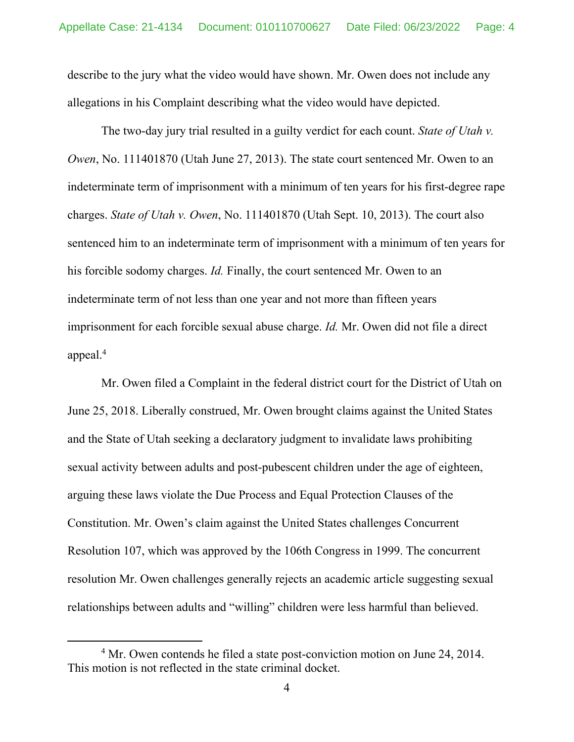describe to the jury what the video would have shown. Mr. Owen does not include any allegations in his Complaint describing what the video would have depicted.

The two-day jury trial resulted in a guilty verdict for each count. *State of Utah v. Owen*, No. 111401870 (Utah June 27, 2013). The state court sentenced Mr. Owen to an indeterminate term of imprisonment with a minimum of ten years for his first-degree rape charges. *State of Utah v. Owen*, No. 111401870 (Utah Sept. 10, 2013). The court also sentenced him to an indeterminate term of imprisonment with a minimum of ten years for his forcible sodomy charges. *Id.* Finally, the court sentenced Mr. Owen to an indeterminate term of not less than one year and not more than fifteen years imprisonment for each forcible sexual abuse charge. *Id.* Mr. Owen did not file a direct appeal.4

Mr. Owen filed a Complaint in the federal district court for the District of Utah on June 25, 2018. Liberally construed, Mr. Owen brought claims against the United States and the State of Utah seeking a declaratory judgment to invalidate laws prohibiting sexual activity between adults and post-pubescent children under the age of eighteen, arguing these laws violate the Due Process and Equal Protection Clauses of the Constitution. Mr. Owen's claim against the United States challenges Concurrent Resolution 107, which was approved by the 106th Congress in 1999. The concurrent resolution Mr. Owen challenges generally rejects an academic article suggesting sexual relationships between adults and "willing" children were less harmful than believed.

<sup>&</sup>lt;sup>4</sup> Mr. Owen contends he filed a state post-conviction motion on June 24, 2014. This motion is not reflected in the state criminal docket.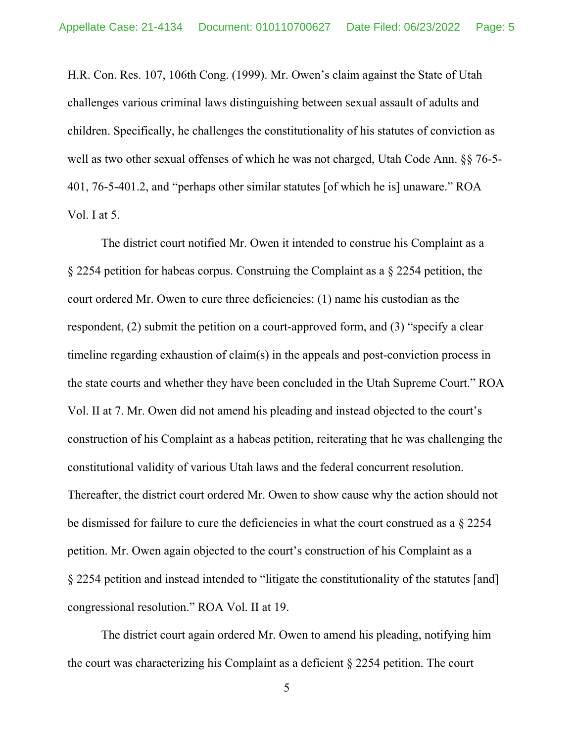H.R. Con. Res. 107, 106th Cong. (1999). Mr. Owen's claim against the State of Utah challenges various criminal laws distinguishing between sexual assault of adults and children. Specifically, he challenges the constitutionality of his statutes of conviction as well as two other sexual offenses of which he was not charged, Utah Code Ann. §§ 76-5- 401, 76-5-401.2, and "perhaps other similar statutes [of which he is] unaware." ROA Vol. I at 5.

The district court notified Mr. Owen it intended to construe his Complaint as a § 2254 petition for habeas corpus. Construing the Complaint as a § 2254 petition, the court ordered Mr. Owen to cure three deficiencies: (1) name his custodian as the respondent, (2) submit the petition on a court-approved form, and (3) "specify a clear timeline regarding exhaustion of claim(s) in the appeals and post-conviction process in the state courts and whether they have been concluded in the Utah Supreme Court." ROA Vol. II at 7. Mr. Owen did not amend his pleading and instead objected to the court's construction of his Complaint as a habeas petition, reiterating that he was challenging the constitutional validity of various Utah laws and the federal concurrent resolution. Thereafter, the district court ordered Mr. Owen to show cause why the action should not be dismissed for failure to cure the deficiencies in what the court construed as a § 2254 petition. Mr. Owen again objected to the court's construction of his Complaint as a § 2254 petition and instead intended to "litigate the constitutionality of the statutes [and] congressional resolution." ROA Vol. II at 19.

The district court again ordered Mr. Owen to amend his pleading, notifying him the court was characterizing his Complaint as a deficient § 2254 petition. The court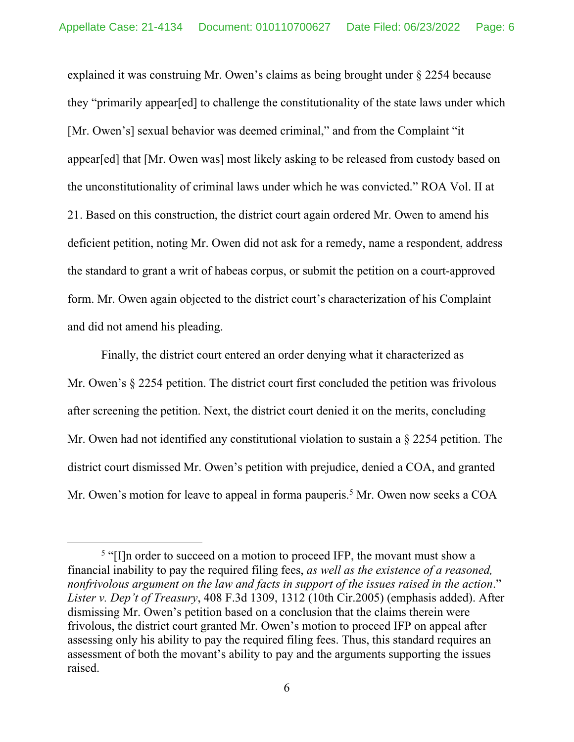explained it was construing Mr. Owen's claims as being brought under § 2254 because they "primarily appear[ed] to challenge the constitutionality of the state laws under which [Mr. Owen's] sexual behavior was deemed criminal," and from the Complaint "it appear[ed] that [Mr. Owen was] most likely asking to be released from custody based on the unconstitutionality of criminal laws under which he was convicted." ROA Vol. II at 21. Based on this construction, the district court again ordered Mr. Owen to amend his deficient petition, noting Mr. Owen did not ask for a remedy, name a respondent, address the standard to grant a writ of habeas corpus, or submit the petition on a court-approved form. Mr. Owen again objected to the district court's characterization of his Complaint and did not amend his pleading.

Finally, the district court entered an order denying what it characterized as Mr. Owen's § 2254 petition. The district court first concluded the petition was frivolous after screening the petition. Next, the district court denied it on the merits, concluding Mr. Owen had not identified any constitutional violation to sustain a § 2254 petition. The district court dismissed Mr. Owen's petition with prejudice, denied a COA, and granted Mr. Owen's motion for leave to appeal in forma pauperis.<sup>5</sup> Mr. Owen now seeks a COA

 $5$  "[I]n order to succeed on a motion to proceed IFP, the movant must show a financial inability to pay the required filing fees, *as well as the existence of a reasoned, nonfrivolous argument on the law and facts in support of the issues raised in the action*." *Lister v. Dep't of Treasury*, 408 F.3d 1309, 1312 (10th Cir.2005) (emphasis added). After dismissing Mr. Owen's petition based on a conclusion that the claims therein were frivolous, the district court granted Mr. Owen's motion to proceed IFP on appeal after assessing only his ability to pay the required filing fees. Thus, this standard requires an assessment of both the movant's ability to pay and the arguments supporting the issues raised.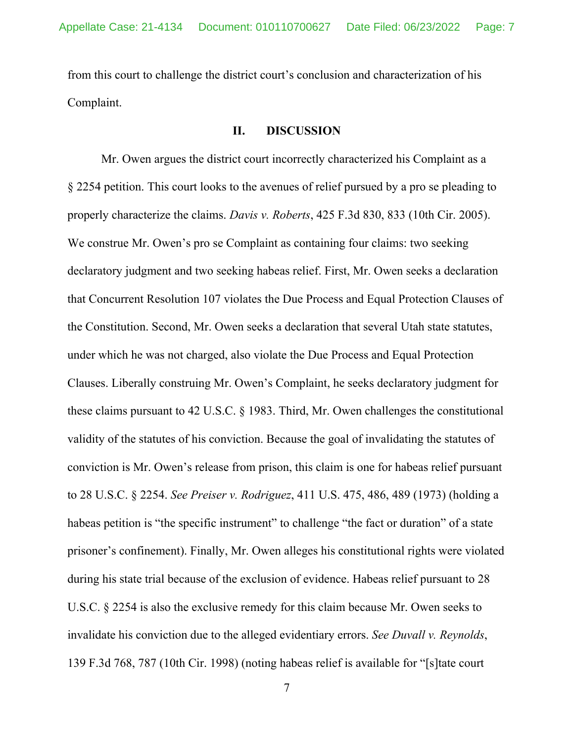from this court to challenge the district court's conclusion and characterization of his Complaint.

#### **II. DISCUSSION**

Mr. Owen argues the district court incorrectly characterized his Complaint as a § 2254 petition. This court looks to the avenues of relief pursued by a pro se pleading to properly characterize the claims. *Davis v. Roberts*, 425 F.3d 830, 833 (10th Cir. 2005). We construe Mr. Owen's pro se Complaint as containing four claims: two seeking declaratory judgment and two seeking habeas relief. First, Mr. Owen seeks a declaration that Concurrent Resolution 107 violates the Due Process and Equal Protection Clauses of the Constitution. Second, Mr. Owen seeks a declaration that several Utah state statutes, under which he was not charged, also violate the Due Process and Equal Protection Clauses. Liberally construing Mr. Owen's Complaint, he seeks declaratory judgment for these claims pursuant to 42 U.S.C. § 1983. Third, Mr. Owen challenges the constitutional validity of the statutes of his conviction. Because the goal of invalidating the statutes of conviction is Mr. Owen's release from prison, this claim is one for habeas relief pursuant to 28 U.S.C. § 2254. *See Preiser v. Rodriguez*, 411 U.S. 475, 486, 489 (1973) (holding a habeas petition is "the specific instrument" to challenge "the fact or duration" of a state prisoner's confinement). Finally, Mr. Owen alleges his constitutional rights were violated during his state trial because of the exclusion of evidence. Habeas relief pursuant to 28 U.S.C. § 2254 is also the exclusive remedy for this claim because Mr. Owen seeks to invalidate his conviction due to the alleged evidentiary errors. *See Duvall v. Reynolds*, 139 F.3d 768, 787 (10th Cir. 1998) (noting habeas relief is available for "[s]tate court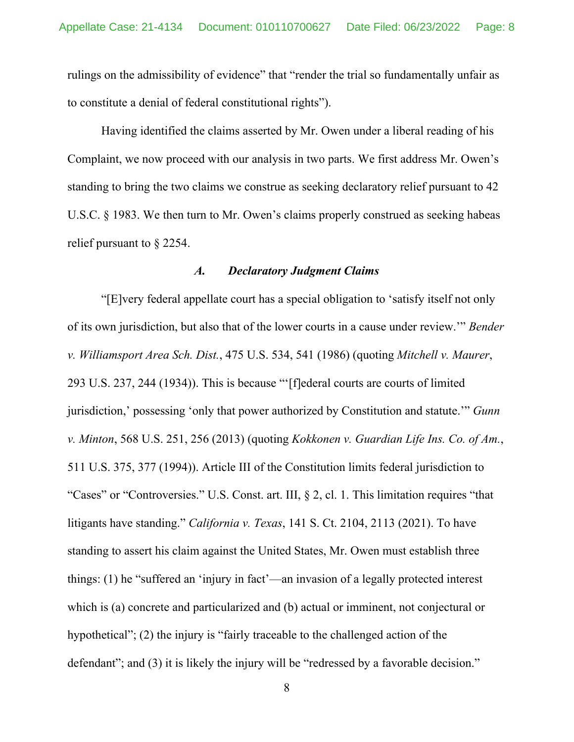rulings on the admissibility of evidence" that "render the trial so fundamentally unfair as to constitute a denial of federal constitutional rights").

Having identified the claims asserted by Mr. Owen under a liberal reading of his Complaint, we now proceed with our analysis in two parts. We first address Mr. Owen's standing to bring the two claims we construe as seeking declaratory relief pursuant to 42 U.S.C. § 1983. We then turn to Mr. Owen's claims properly construed as seeking habeas relief pursuant to § 2254.

## *A. Declaratory Judgment Claims*

"[E]very federal appellate court has a special obligation to 'satisfy itself not only of its own jurisdiction, but also that of the lower courts in a cause under review.'" *Bender v. Williamsport Area Sch. Dist.*, 475 U.S. 534, 541 (1986) (quoting *Mitchell v. Maurer*, 293 U.S. 237, 244 (1934)). This is because "'[f]ederal courts are courts of limited jurisdiction,' possessing 'only that power authorized by Constitution and statute.'" *Gunn v. Minton*, 568 U.S. 251, 256 (2013) (quoting *Kokkonen v. Guardian Life Ins. Co. of Am.*, 511 U.S. 375, 377 (1994)). Article III of the Constitution limits federal jurisdiction to "Cases" or "Controversies." U.S. Const. art. III, § 2, cl. 1. This limitation requires "that litigants have standing." *California v. Texas*, 141 S. Ct. 2104, 2113 (2021). To have standing to assert his claim against the United States, Mr. Owen must establish three things: (1) he "suffered an 'injury in fact'—an invasion of a legally protected interest which is (a) concrete and particularized and (b) actual or imminent, not conjectural or hypothetical"; (2) the injury is "fairly traceable to the challenged action of the defendant"; and (3) it is likely the injury will be "redressed by a favorable decision."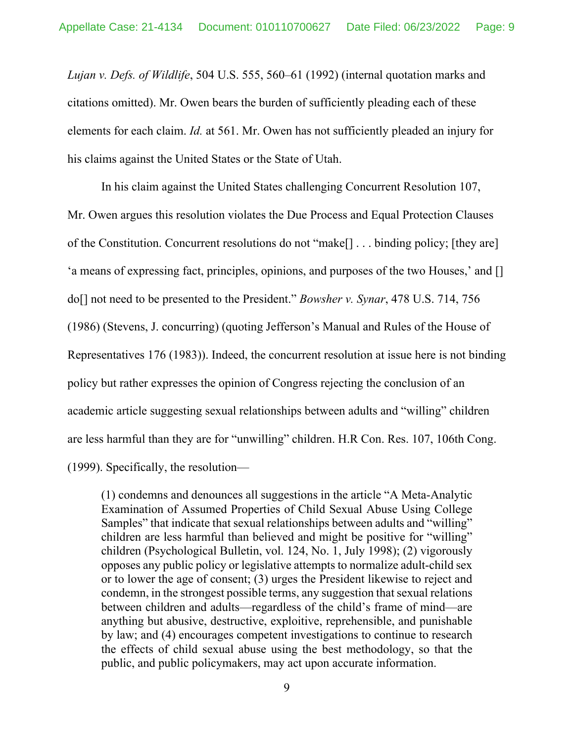*Lujan v. Defs. of Wildlife*, 504 U.S. 555, 560–61 (1992) (internal quotation marks and citations omitted). Mr. Owen bears the burden of sufficiently pleading each of these elements for each claim. *Id.* at 561. Mr. Owen has not sufficiently pleaded an injury for his claims against the United States or the State of Utah.

In his claim against the United States challenging Concurrent Resolution 107, Mr. Owen argues this resolution violates the Due Process and Equal Protection Clauses of the Constitution. Concurrent resolutions do not "make[] . . . binding policy; [they are] 'a means of expressing fact, principles, opinions, and purposes of the two Houses,' and [] do[] not need to be presented to the President." *Bowsher v. Synar*, 478 U.S. 714, 756 (1986) (Stevens, J. concurring) (quoting Jefferson's Manual and Rules of the House of Representatives 176 (1983)). Indeed, the concurrent resolution at issue here is not binding policy but rather expresses the opinion of Congress rejecting the conclusion of an academic article suggesting sexual relationships between adults and "willing" children are less harmful than they are for "unwilling" children. H.R Con. Res. 107, 106th Cong. (1999). Specifically, the resolution—

(1) condemns and denounces all suggestions in the article "A Meta-Analytic Examination of Assumed Properties of Child Sexual Abuse Using College Samples" that indicate that sexual relationships between adults and "willing" children are less harmful than believed and might be positive for "willing" children (Psychological Bulletin, vol. 124, No. 1, July 1998); (2) vigorously opposes any public policy or legislative attempts to normalize adult-child sex or to lower the age of consent; (3) urges the President likewise to reject and condemn, in the strongest possible terms, any suggestion that sexual relations between children and adults—regardless of the child's frame of mind—are anything but abusive, destructive, exploitive, reprehensible, and punishable by law; and (4) encourages competent investigations to continue to research the effects of child sexual abuse using the best methodology, so that the public, and public policymakers, may act upon accurate information.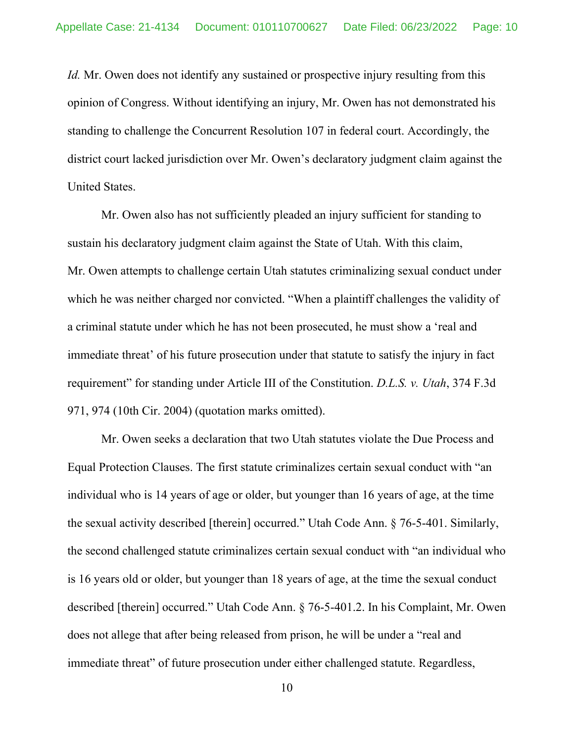*Id.* Mr. Owen does not identify any sustained or prospective injury resulting from this opinion of Congress. Without identifying an injury, Mr. Owen has not demonstrated his standing to challenge the Concurrent Resolution 107 in federal court. Accordingly, the district court lacked jurisdiction over Mr. Owen's declaratory judgment claim against the United States.

Mr. Owen also has not sufficiently pleaded an injury sufficient for standing to sustain his declaratory judgment claim against the State of Utah. With this claim, Mr. Owen attempts to challenge certain Utah statutes criminalizing sexual conduct under which he was neither charged nor convicted. "When a plaintiff challenges the validity of a criminal statute under which he has not been prosecuted, he must show a 'real and immediate threat' of his future prosecution under that statute to satisfy the injury in fact requirement" for standing under Article III of the Constitution. *D.L.S. v. Utah*, 374 F.3d 971, 974 (10th Cir. 2004) (quotation marks omitted).

Mr. Owen seeks a declaration that two Utah statutes violate the Due Process and Equal Protection Clauses. The first statute criminalizes certain sexual conduct with "an individual who is 14 years of age or older, but younger than 16 years of age, at the time the sexual activity described [therein] occurred." Utah Code Ann. § 76-5-401. Similarly, the second challenged statute criminalizes certain sexual conduct with "an individual who is 16 years old or older, but younger than 18 years of age, at the time the sexual conduct described [therein] occurred." Utah Code Ann. § 76-5-401.2. In his Complaint, Mr. Owen does not allege that after being released from prison, he will be under a "real and immediate threat" of future prosecution under either challenged statute. Regardless,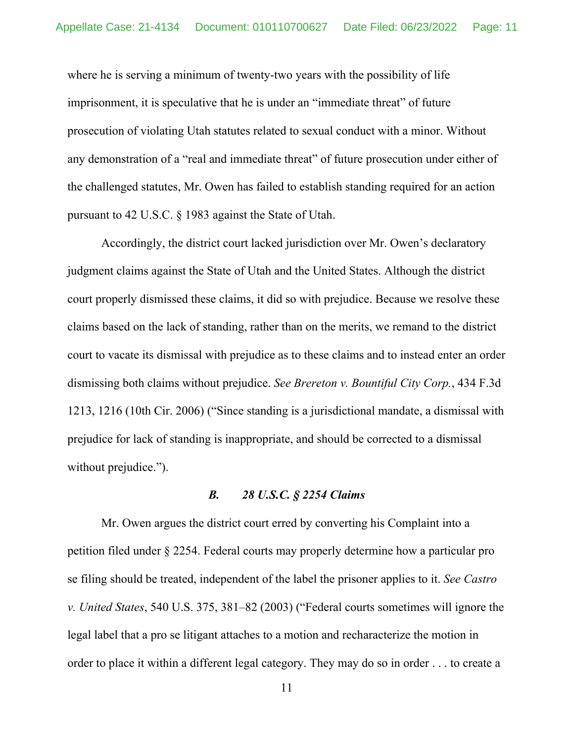where he is serving a minimum of twenty-two years with the possibility of life imprisonment, it is speculative that he is under an "immediate threat" of future prosecution of violating Utah statutes related to sexual conduct with a minor. Without any demonstration of a "real and immediate threat" of future prosecution under either of the challenged statutes, Mr. Owen has failed to establish standing required for an action pursuant to 42 U.S.C. § 1983 against the State of Utah.

Accordingly, the district court lacked jurisdiction over Mr. Owen's declaratory judgment claims against the State of Utah and the United States. Although the district court properly dismissed these claims, it did so with prejudice. Because we resolve these claims based on the lack of standing, rather than on the merits, we remand to the district court to vacate its dismissal with prejudice as to these claims and to instead enter an order dismissing both claims without prejudice. *See Brereton v. Bountiful City Corp.*, 434 F.3d 1213, 1216 (10th Cir. 2006) ("Since standing is a jurisdictional mandate, a dismissal with prejudice for lack of standing is inappropriate, and should be corrected to a dismissal without prejudice.").

#### *B. 28 U.S.C. § 2254 Claims*

Mr. Owen argues the district court erred by converting his Complaint into a petition filed under § 2254. Federal courts may properly determine how a particular pro se filing should be treated, independent of the label the prisoner applies to it. *See Castro v. United States*, 540 U.S. 375, 381–82 (2003) ("Federal courts sometimes will ignore the legal label that a pro se litigant attaches to a motion and recharacterize the motion in order to place it within a different legal category. They may do so in order . . . to create a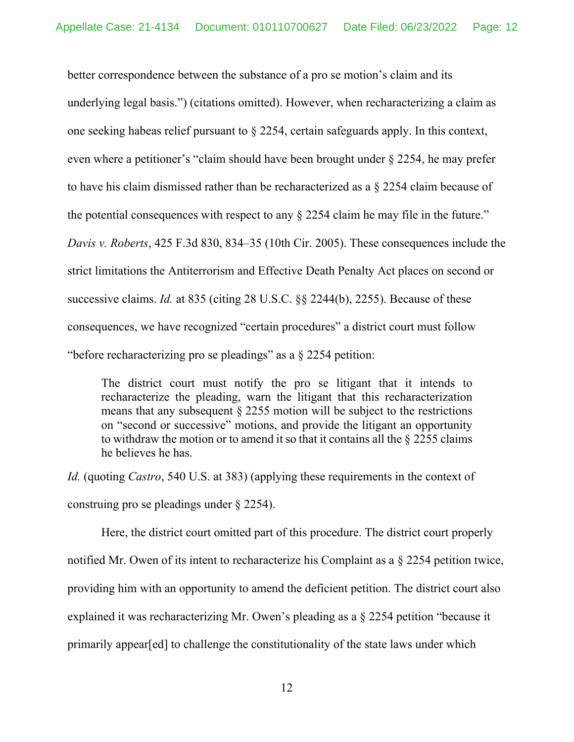better correspondence between the substance of a pro se motion's claim and its underlying legal basis.") (citations omitted). However, when recharacterizing a claim as one seeking habeas relief pursuant to § 2254, certain safeguards apply. In this context, even where a petitioner's "claim should have been brought under § 2254, he may prefer to have his claim dismissed rather than be recharacterized as a § 2254 claim because of the potential consequences with respect to any § 2254 claim he may file in the future." *Davis v. Roberts*, 425 F.3d 830, 834–35 (10th Cir. 2005). These consequences include the strict limitations the Antiterrorism and Effective Death Penalty Act places on second or successive claims. *Id.* at 835 (citing 28 U.S.C. §§ 2244(b), 2255). Because of these consequences, we have recognized "certain procedures" a district court must follow "before recharacterizing pro se pleadings" as a § 2254 petition:

The district court must notify the pro se litigant that it intends to recharacterize the pleading, warn the litigant that this recharacterization means that any subsequent § 2255 motion will be subject to the restrictions on "second or successive" motions, and provide the litigant an opportunity to withdraw the motion or to amend it so that it contains all the § 2255 claims he believes he has.

*Id.* (quoting *Castro*, 540 U.S. at 383) (applying these requirements in the context of construing pro se pleadings under § 2254).

Here, the district court omitted part of this procedure. The district court properly notified Mr. Owen of its intent to recharacterize his Complaint as a § 2254 petition twice, providing him with an opportunity to amend the deficient petition. The district court also explained it was recharacterizing Mr. Owen's pleading as a § 2254 petition "because it primarily appear[ed] to challenge the constitutionality of the state laws under which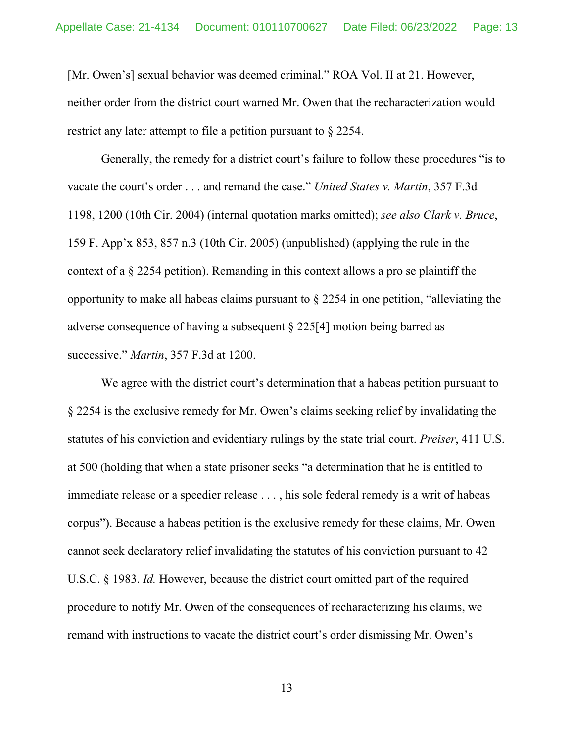[Mr. Owen's] sexual behavior was deemed criminal." ROA Vol. II at 21. However, neither order from the district court warned Mr. Owen that the recharacterization would restrict any later attempt to file a petition pursuant to § 2254.

Generally, the remedy for a district court's failure to follow these procedures "is to vacate the court's order . . . and remand the case." *United States v. Martin*, 357 F.3d 1198, 1200 (10th Cir. 2004) (internal quotation marks omitted); *see also Clark v. Bruce*, 159 F. App'x 853, 857 n.3 (10th Cir. 2005) (unpublished) (applying the rule in the context of a § 2254 petition). Remanding in this context allows a pro se plaintiff the opportunity to make all habeas claims pursuant to § 2254 in one petition, "alleviating the adverse consequence of having a subsequent § 225[4] motion being barred as successive." *Martin*, 357 F.3d at 1200.

We agree with the district court's determination that a habeas petition pursuant to § 2254 is the exclusive remedy for Mr. Owen's claims seeking relief by invalidating the statutes of his conviction and evidentiary rulings by the state trial court. *Preiser*, 411 U.S. at 500 (holding that when a state prisoner seeks "a determination that he is entitled to immediate release or a speedier release . . . , his sole federal remedy is a writ of habeas corpus"). Because a habeas petition is the exclusive remedy for these claims, Mr. Owen cannot seek declaratory relief invalidating the statutes of his conviction pursuant to 42 U.S.C. § 1983. *Id.* However, because the district court omitted part of the required procedure to notify Mr. Owen of the consequences of recharacterizing his claims, we remand with instructions to vacate the district court's order dismissing Mr. Owen's